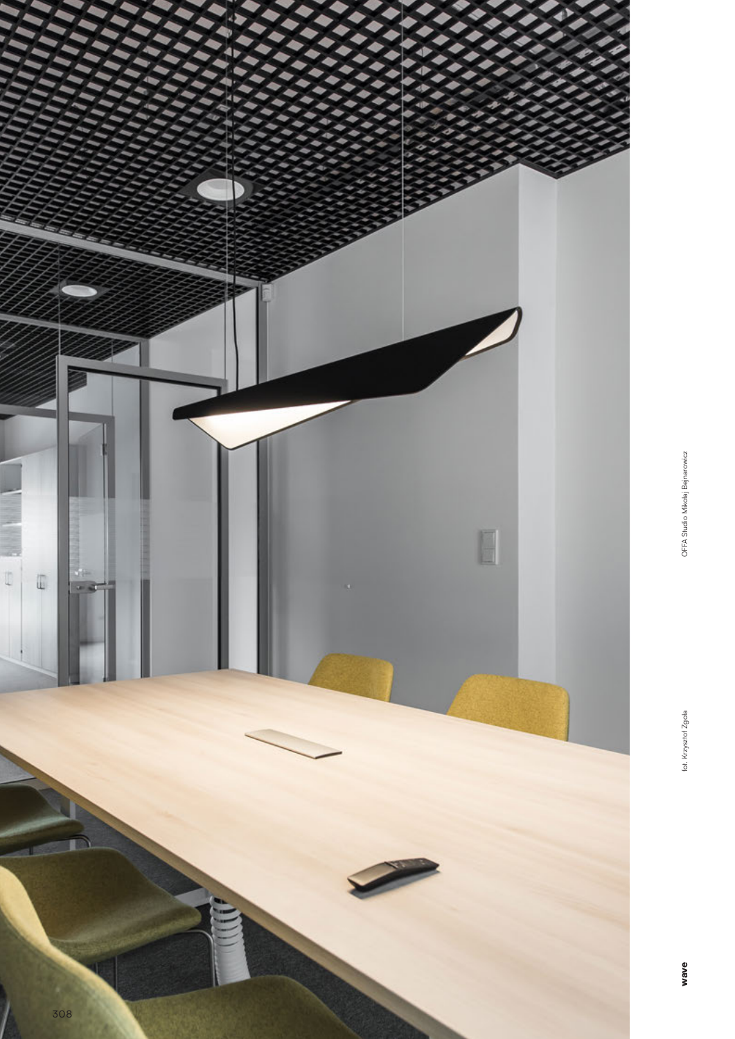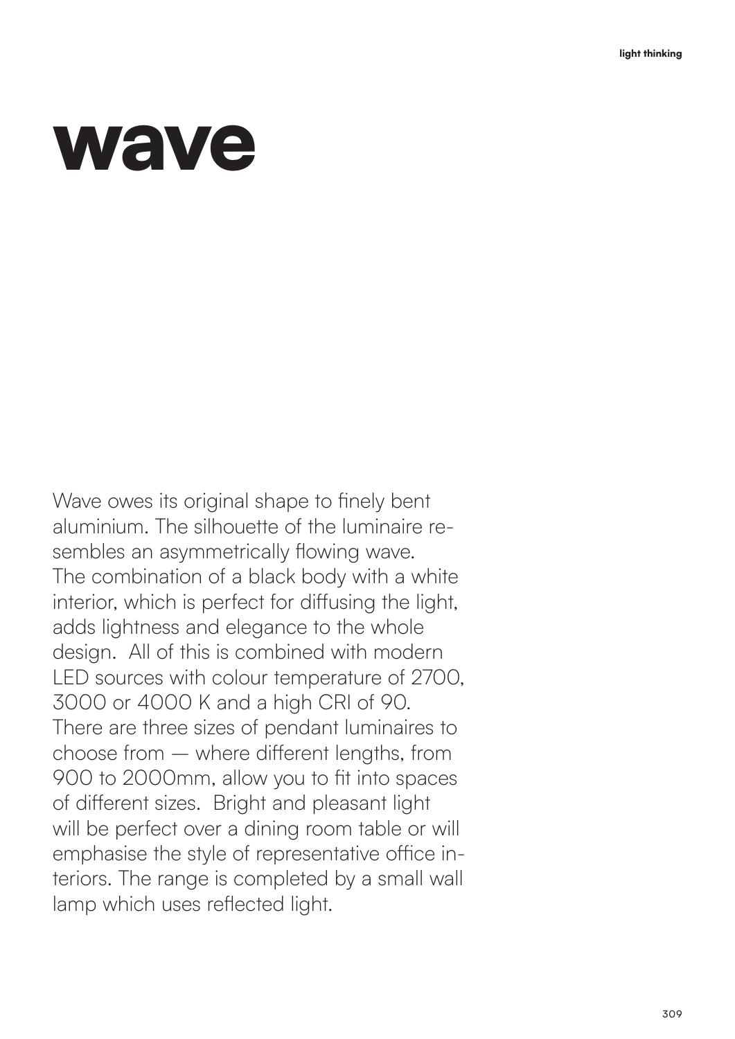## wave

Wave owes its original shape to finely bent aluminium. The silhouette of the luminaire resembles an asymmetrically flowing wave. The combination of a black body with a white interior, which is perfect for diffusing the light, adds lightness and elegance to the whole design. All of this is combined with modern LED sources with colour temperature of 2700, 3000 or 4000 K and a high CRI of 90. There are three sizes of pendant luminaires to choose from – where different lengths, from 900 to 2000mm, allow you to fit into spaces of different sizes. Bright and pleasant light will be perfect over a dining room table or will emphasise the style of representative office interiors. The range is completed by a small wall lamp which uses reflected light.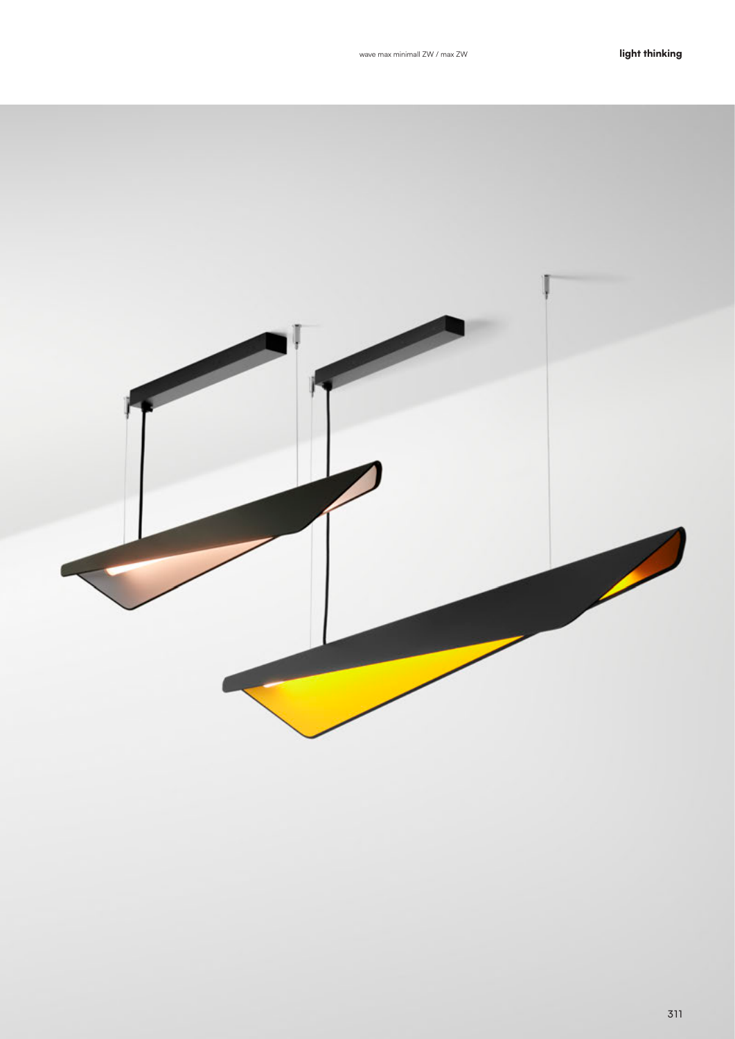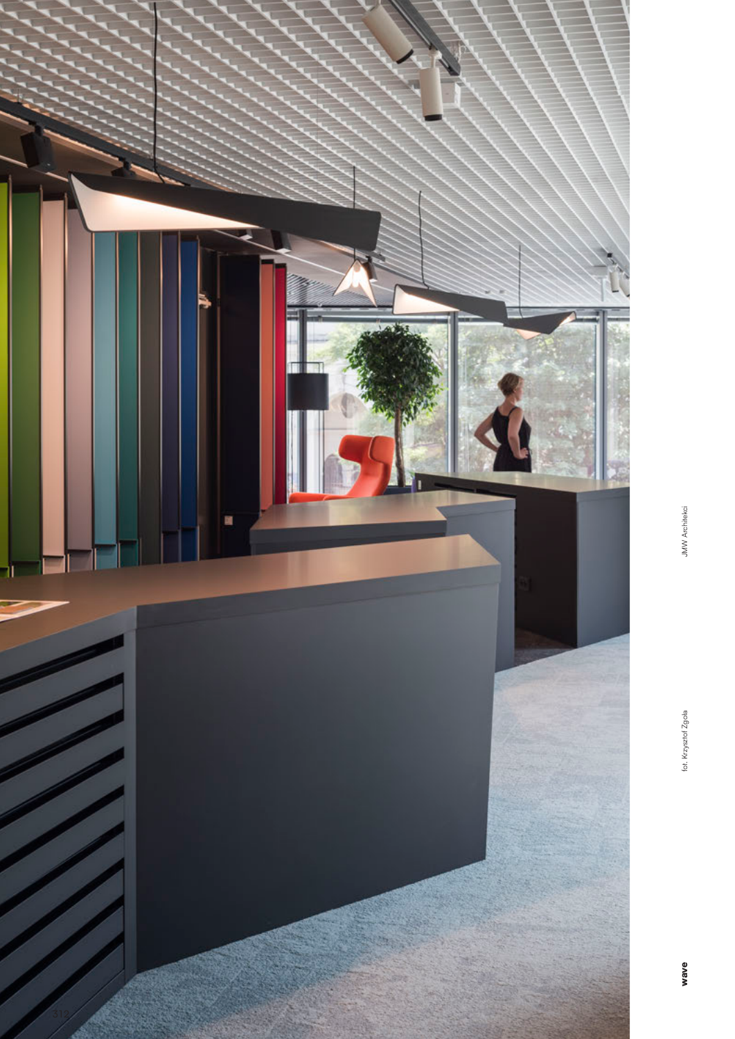

JMW Architekci

wave